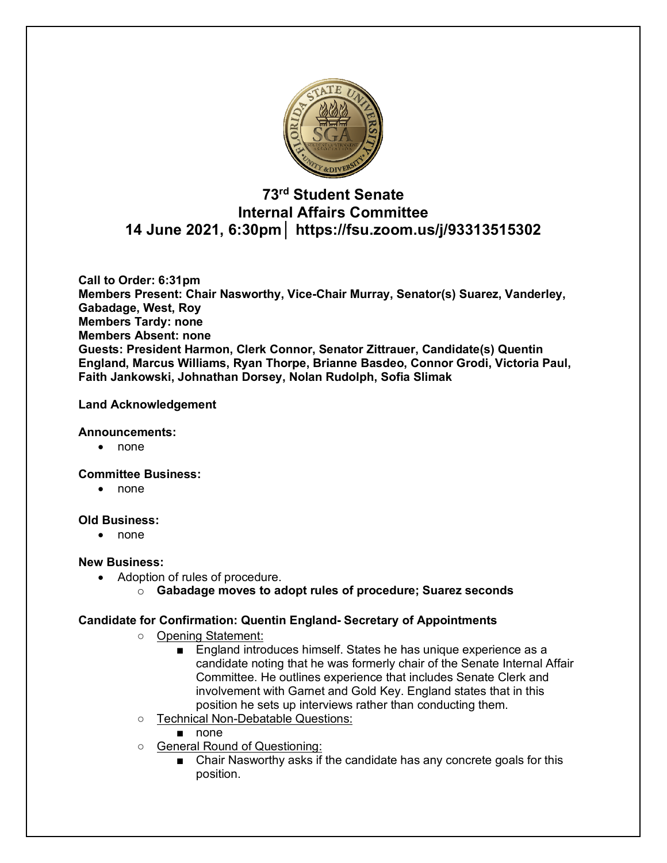

## **73rd Student Senate Internal Affairs Committee 14 June 2021, 6:30pm│ https://fsu.zoom.us/j/93313515302**

**Call to Order: 6:31pm Members Present: Chair Nasworthy, Vice-Chair Murray, Senator(s) Suarez, Vanderley, Gabadage, West, Roy Members Tardy: none Members Absent: none Guests: President Harmon, Clerk Connor, Senator Zittrauer, Candidate(s) Quentin England, Marcus Williams, Ryan Thorpe, Brianne Basdeo, Connor Grodi, Victoria Paul, Faith Jankowski, Johnathan Dorsey, Nolan Rudolph, Sofia Slimak**

#### **Land Acknowledgement**

#### **Announcements:**

• none

#### **Committee Business:**

• none

#### **Old Business:**

• none

#### **New Business:**

- Adoption of rules of procedure.
	- o **Gabadage moves to adopt rules of procedure; Suarez seconds**

#### **Candidate for Confirmation: Quentin England- Secretary of Appointments**

- Opening Statement:
	- England introduces himself. States he has unique experience as a candidate noting that he was formerly chair of the Senate Internal Affair Committee. He outlines experience that includes Senate Clerk and involvement with Garnet and Gold Key. England states that in this position he sets up interviews rather than conducting them.
- Technical Non-Debatable Questions:
	- none
- General Round of Questioning:
	- Chair Nasworthy asks if the candidate has any concrete goals for this position.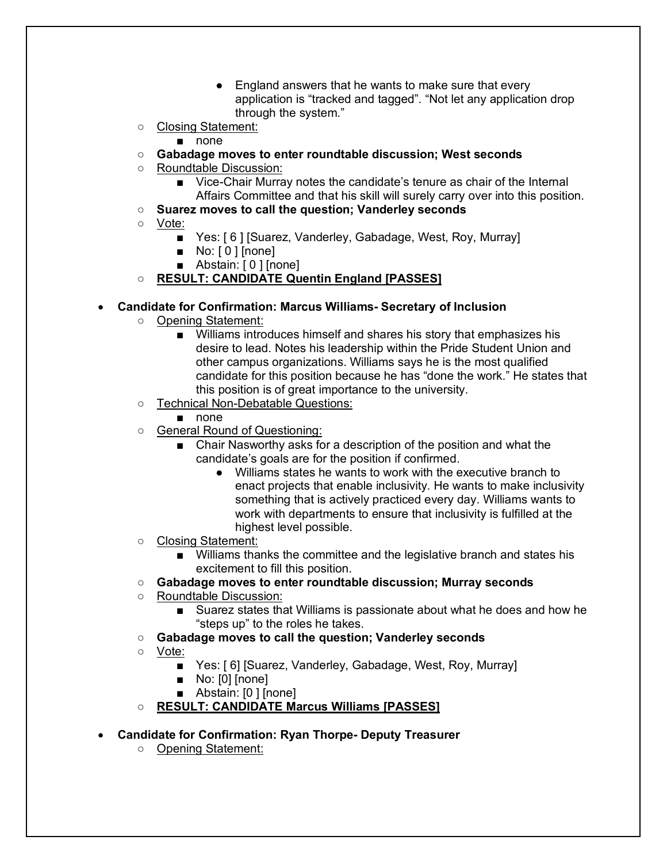- England answers that he wants to make sure that every application is "tracked and tagged". "Not let any application drop through the system."
- Closing Statement:
	- none
- **Gabadage moves to enter roundtable discussion; West seconds**
- Roundtable Discussion:
	- Vice-Chair Murray notes the candidate's tenure as chair of the Internal Affairs Committee and that his skill will surely carry over into this position.
- **Suarez moves to call the question; Vanderley seconds**
- Vote:
	- Yes: [6] [Suarez, Vanderley, Gabadage, West, Roy, Murray]
	- No: [0 ] [none]
	- Abstain: [ 0 ] [none]
- **RESULT: CANDIDATE Quentin England [PASSES]**
- **Candidate for Confirmation: Marcus Williams- Secretary of Inclusion** 
	- Opening Statement:
		- Williams introduces himself and shares his story that emphasizes his desire to lead. Notes his leadership within the Pride Student Union and other campus organizations. Williams says he is the most qualified candidate for this position because he has "done the work." He states that this position is of great importance to the university.
	- Technical Non-Debatable Questions:
		- none
	- General Round of Questioning:
		- Chair Nasworthy asks for a description of the position and what the candidate's goals are for the position if confirmed.
			- Williams states he wants to work with the executive branch to enact projects that enable inclusivity. He wants to make inclusivity something that is actively practiced every day. Williams wants to work with departments to ensure that inclusivity is fulfilled at the highest level possible.
	- Closing Statement:
		- Williams thanks the committee and the legislative branch and states his excitement to fill this position.
	- **Gabadage moves to enter roundtable discussion; Murray seconds**
	- Roundtable Discussion:
		- Suarez states that Williams is passionate about what he does and how he "steps up" to the roles he takes.
	- **Gabadage moves to call the question; Vanderley seconds**
	- Vote:
		- Yes: [6] [Suarez, Vanderley, Gabadage, West, Roy, Murray]
		- No: [0] [none]
		- Abstain: [0 ] [none]
	- **RESULT: CANDIDATE Marcus Williams [PASSES]**
- **Candidate for Confirmation: Ryan Thorpe- Deputy Treasurer**
	- Opening Statement: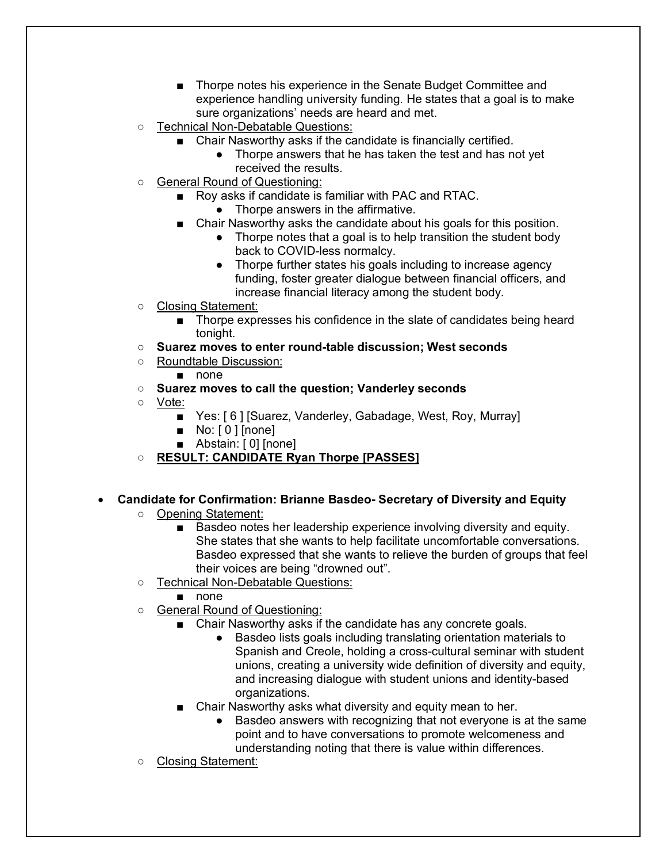- Thorpe notes his experience in the Senate Budget Committee and experience handling university funding. He states that a goal is to make sure organizations' needs are heard and met.
- Technical Non-Debatable Questions:
	- Chair Nasworthy asks if the candidate is financially certified.
		- Thorpe answers that he has taken the test and has not yet received the results.
- General Round of Questioning:
	- Roy asks if candidate is familiar with PAC and RTAC.
		- Thorpe answers in the affirmative.
	- Chair Nasworthy asks the candidate about his goals for this position.
		- Thorpe notes that a goal is to help transition the student body back to COVID-less normalcy.
		- Thorpe further states his goals including to increase agency funding, foster greater dialogue between financial officers, and increase financial literacy among the student body.
- Closing Statement:
	- Thorpe expresses his confidence in the slate of candidates being heard tonight.
- **Suarez moves to enter round-table discussion; West seconds**
- Roundtable Discussion:
	- none
- **Suarez moves to call the question; Vanderley seconds**
- Vote:
	- Yes: [6] [Suarez, Vanderley, Gabadage, West, Roy, Murray]
	- No: [ 0 ] [none]
	- Abstain: [0] [none]
- **RESULT: CANDIDATE Ryan Thorpe [PASSES]**
- **Candidate for Confirmation: Brianne Basdeo- Secretary of Diversity and Equity**
	- Opening Statement:
		- Basdeo notes her leadership experience involving diversity and equity. She states that she wants to help facilitate uncomfortable conversations. Basdeo expressed that she wants to relieve the burden of groups that feel their voices are being "drowned out".
	- Technical Non-Debatable Questions:
		- none
	- General Round of Questioning:
		- Chair Nasworthy asks if the candidate has any concrete goals.
			- Basdeo lists goals including translating orientation materials to Spanish and Creole, holding a cross-cultural seminar with student unions, creating a university wide definition of diversity and equity, and increasing dialogue with student unions and identity-based organizations.
		- Chair Nasworthy asks what diversity and equity mean to her.
			- Basdeo answers with recognizing that not everyone is at the same point and to have conversations to promote welcomeness and understanding noting that there is value within differences.
	- Closing Statement: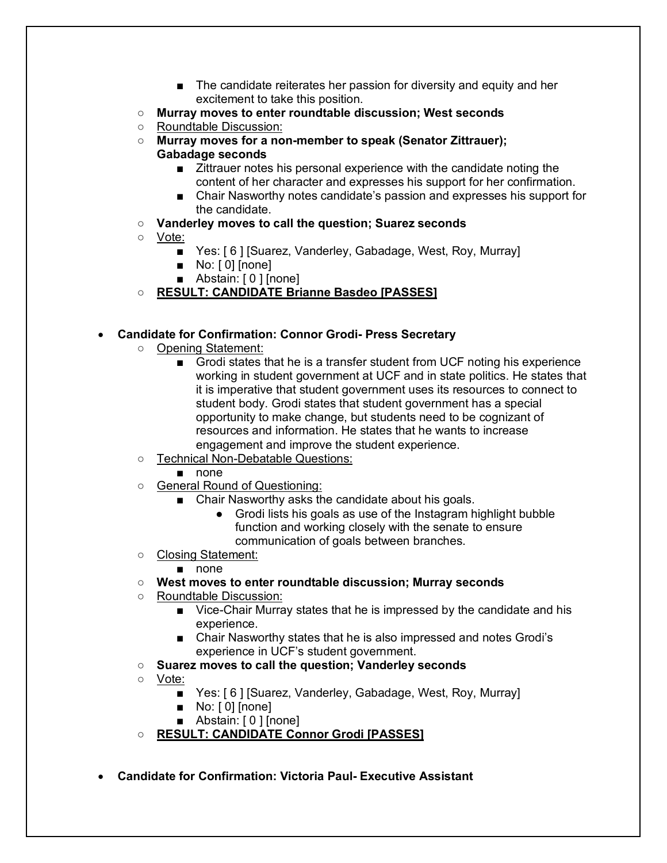- The candidate reiterates her passion for diversity and equity and her excitement to take this position.
- **Murray moves to enter roundtable discussion; West seconds**
- Roundtable Discussion:
- **Murray moves for a non-member to speak (Senator Zittrauer); Gabadage seconds**
	- Zittrauer notes his personal experience with the candidate noting the content of her character and expresses his support for her confirmation.
	- Chair Nasworthy notes candidate's passion and expresses his support for the candidate.
- **Vanderley moves to call the question; Suarez seconds**
- Vote:
	- Yes: [6] [Suarez, Vanderley, Gabadage, West, Roy, Murray]
	- No: [0] [none]
	- Abstain: [0] [none]

## ○ **RESULT: CANDIDATE Brianne Basdeo [PASSES]**

### • **Candidate for Confirmation: Connor Grodi- Press Secretary**

- Opening Statement:
	- Grodi states that he is a transfer student from UCF noting his experience working in student government at UCF and in state politics. He states that it is imperative that student government uses its resources to connect to student body. Grodi states that student government has a special opportunity to make change, but students need to be cognizant of resources and information. He states that he wants to increase engagement and improve the student experience.
- Technical Non-Debatable Questions:
	- none
- General Round of Questioning:
	- Chair Nasworthy asks the candidate about his goals.
		- Grodi lists his goals as use of the Instagram highlight bubble function and working closely with the senate to ensure communication of goals between branches.
- Closing Statement:
	- none
- **West moves to enter roundtable discussion; Murray seconds**
- Roundtable Discussion:
	- Vice-Chair Murray states that he is impressed by the candidate and his experience.
	- Chair Nasworthy states that he is also impressed and notes Grodi's experience in UCF's student government.
- **Suarez moves to call the question; Vanderley seconds**
- Vote:
	- Yes: [6] [Suarez, Vanderley, Gabadage, West, Roy, Murray]
	- No: [0] [none]
	- Abstain: [0 ] [none]
- **RESULT: CANDIDATE Connor Grodi [PASSES]**
- **Candidate for Confirmation: Victoria Paul- Executive Assistant**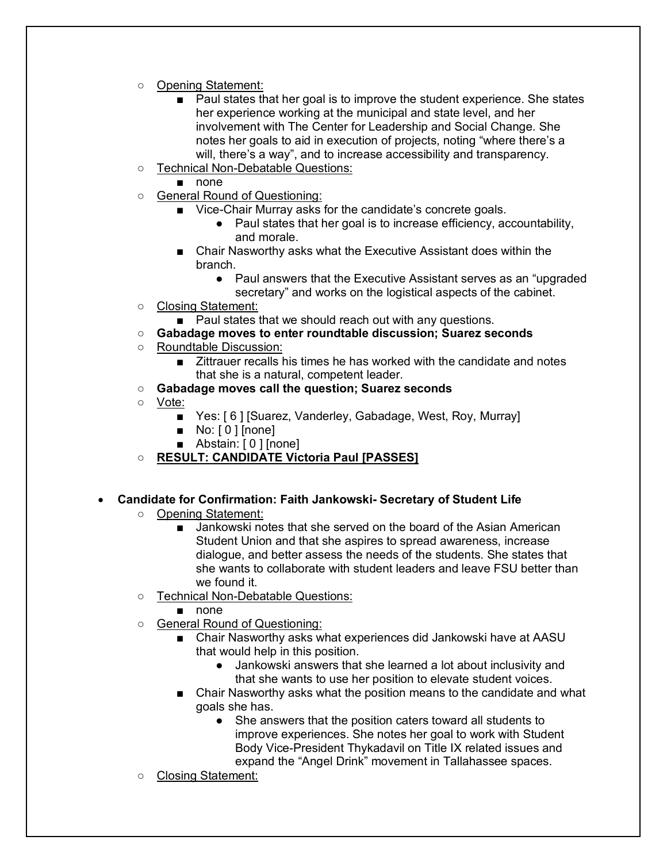- Opening Statement:
	- Paul states that her goal is to improve the student experience. She states her experience working at the municipal and state level, and her involvement with The Center for Leadership and Social Change. She notes her goals to aid in execution of projects, noting "where there's a will, there's a way", and to increase accessibility and transparency.
- Technical Non-Debatable Questions:
	- none
- General Round of Questioning:
	- Vice-Chair Murray asks for the candidate's concrete goals.
		- Paul states that her goal is to increase efficiency, accountability, and morale.
	- Chair Nasworthy asks what the Executive Assistant does within the branch.
		- Paul answers that the Executive Assistant serves as an "upgraded" secretary" and works on the logistical aspects of the cabinet.
- Closing Statement:
	- Paul states that we should reach out with any questions.
- **Gabadage moves to enter roundtable discussion; Suarez seconds**
- Roundtable Discussion:
	- Zittrauer recalls his times he has worked with the candidate and notes that she is a natural, competent leader.
- **Gabadage moves call the question; Suarez seconds**
- Vote:
	- Yes: [6] [Suarez, Vanderley, Gabadage, West, Roy, Murray]
	- No: [0 ] [none]
	- Abstain: [0 ] [none]
- **RESULT: CANDIDATE Victoria Paul [PASSES]**
- **Candidate for Confirmation: Faith Jankowski- Secretary of Student Life** 
	- Opening Statement:
		- Jankowski notes that she served on the board of the Asian American Student Union and that she aspires to spread awareness, increase dialogue, and better assess the needs of the students. She states that she wants to collaborate with student leaders and leave FSU better than we found it.
	- Technical Non-Debatable Questions:
		- none
	- General Round of Questioning:
		- Chair Nasworthy asks what experiences did Jankowski have at AASU that would help in this position.
			- Jankowski answers that she learned a lot about inclusivity and that she wants to use her position to elevate student voices.
		- Chair Nasworthy asks what the position means to the candidate and what goals she has.
			- She answers that the position caters toward all students to improve experiences. She notes her goal to work with Student Body Vice-President Thykadavil on Title IX related issues and expand the "Angel Drink" movement in Tallahassee spaces.
	- Closing Statement: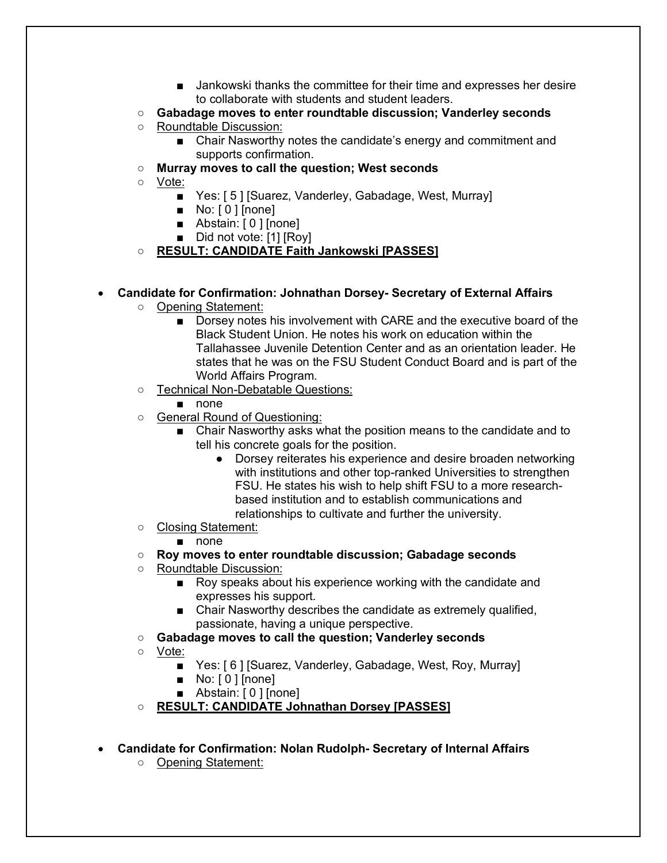- Jankowski thanks the committee for their time and expresses her desire to collaborate with students and student leaders.
- **Gabadage moves to enter roundtable discussion; Vanderley seconds**
- Roundtable Discussion:
	- Chair Nasworthy notes the candidate's energy and commitment and supports confirmation.
- **Murray moves to call the question; West seconds**
- Vote:
	- Yes: [5] [Suarez, Vanderley, Gabadage, West, Murray]
	- No: [0] [none]
	- Abstain: [0 ] [none]
	- Did not vote: [1] [Roy]
- **RESULT: CANDIDATE Faith Jankowski [PASSES]**

### • **Candidate for Confirmation: Johnathan Dorsey- Secretary of External Affairs**

- Opening Statement:
	- Dorsey notes his involvement with CARE and the executive board of the Black Student Union. He notes his work on education within the Tallahassee Juvenile Detention Center and as an orientation leader. He states that he was on the FSU Student Conduct Board and is part of the World Affairs Program.
- Technical Non-Debatable Questions:
	- none
- General Round of Questioning:
	- Chair Nasworthy asks what the position means to the candidate and to tell his concrete goals for the position.
		- Dorsey reiterates his experience and desire broaden networking with institutions and other top-ranked Universities to strengthen FSU. He states his wish to help shift FSU to a more researchbased institution and to establish communications and relationships to cultivate and further the university.
- Closing Statement:

#### ■ none

- **Roy moves to enter roundtable discussion; Gabadage seconds**
- Roundtable Discussion:
	- Roy speaks about his experience working with the candidate and expresses his support.
	- Chair Nasworthy describes the candidate as extremely qualified, passionate, having a unique perspective.
- **Gabadage moves to call the question; Vanderley seconds**
- Vote:
	- Yes: [6] [Suarez, Vanderley, Gabadage, West, Roy, Murray]
	- No: [0 ] [none]
	- Abstain: [ 0 ] [none]
- **RESULT: CANDIDATE Johnathan Dorsey [PASSES]**
- **Candidate for Confirmation: Nolan Rudolph- Secretary of Internal Affairs** 
	- Opening Statement: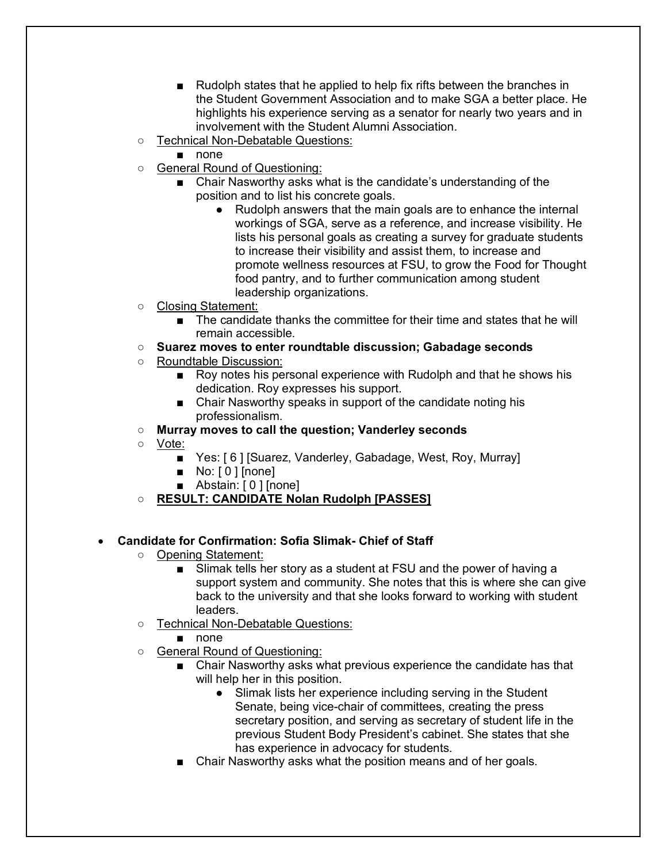- Rudolph states that he applied to help fix rifts between the branches in the Student Government Association and to make SGA a better place. He highlights his experience serving as a senator for nearly two years and in involvement with the Student Alumni Association.
- Technical Non-Debatable Questions:
	- none
- General Round of Questioning:
	- Chair Nasworthy asks what is the candidate's understanding of the position and to list his concrete goals.
		- Rudolph answers that the main goals are to enhance the internal workings of SGA, serve as a reference, and increase visibility. He lists his personal goals as creating a survey for graduate students to increase their visibility and assist them, to increase and promote wellness resources at FSU, to grow the Food for Thought food pantry, and to further communication among student leadership organizations.
- Closing Statement:
	- The candidate thanks the committee for their time and states that he will remain accessible.
- **Suarez moves to enter roundtable discussion; Gabadage seconds**
- Roundtable Discussion:
	- Roy notes his personal experience with Rudolph and that he shows his dedication. Roy expresses his support.
	- Chair Nasworthy speaks in support of the candidate noting his professionalism.
- **Murray moves to call the question; Vanderley seconds**
- Vote:
	- Yes: [6] [Suarez, Vanderley, Gabadage, West, Roy, Murray]
	- No: [0 ] [none]
	- Abstain: [0] [none]
- **RESULT: CANDIDATE Nolan Rudolph [PASSES]**

## • **Candidate for Confirmation: Sofia Slimak- Chief of Staff**

- Opening Statement:
	- Slimak tells her story as a student at FSU and the power of having a support system and community. She notes that this is where she can give back to the university and that she looks forward to working with student leaders.
- Technical Non-Debatable Questions:
	- none
- General Round of Questioning:
	- Chair Nasworthy asks what previous experience the candidate has that will help her in this position.
		- Slimak lists her experience including serving in the Student Senate, being vice-chair of committees, creating the press secretary position, and serving as secretary of student life in the previous Student Body President's cabinet. She states that she has experience in advocacy for students.
	- Chair Nasworthy asks what the position means and of her goals.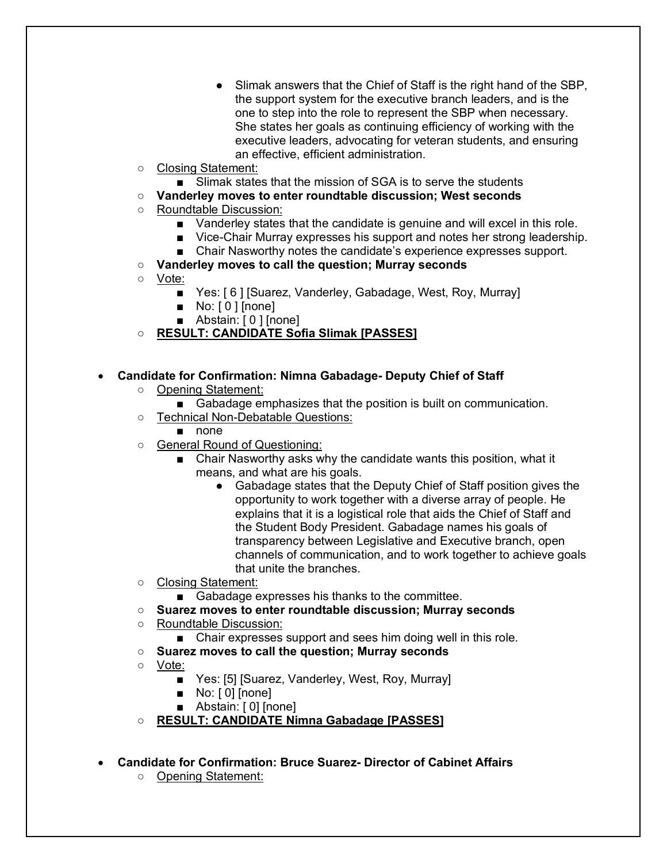- Slimak answers that the Chief of Staff is the right hand of the SBP. the support system for the executive branch leaders, and is the one to step into the role to represent the SBP when necessary. She states her goals as continuing efficiency of working with the executive leaders, advocating for veteran students, and ensuring an effective, efficient administration.
- Closing Statement:
	- Slimak states that the mission of SGA is to serve the students
- **Vanderley moves to enter roundtable discussion; West seconds**
- Roundtable Discussion:
	- Vanderley states that the candidate is genuine and will excel in this role.
	- Vice-Chair Murray expresses his support and notes her strong leadership.
	- Chair Nasworthy notes the candidate's experience expresses support.
- **Vanderley moves to call the question; Murray seconds**
- Vote:
	- Yes: [6] [Suarez, Vanderley, Gabadage, West, Roy, Murray]
	- No: [0 ] [none]
	- Abstain: [0 ] [none]
- **RESULT: CANDIDATE Sofia Slimak [PASSES]**

### • **Candidate for Confirmation: Nimna Gabadage- Deputy Chief of Staff**

- Opening Statement:
	- Gabadage emphasizes that the position is built on communication.
- Technical Non-Debatable Questions:
	- none
- General Round of Questioning:
	- Chair Nasworthy asks why the candidate wants this position, what it means, and what are his goals.
		- Gabadage states that the Deputy Chief of Staff position gives the opportunity to work together with a diverse array of people. He explains that it is a logistical role that aids the Chief of Staff and the Student Body President. Gabadage names his goals of transparency between Legislative and Executive branch, open channels of communication, and to work together to achieve goals that unite the branches.
- Closing Statement:
	- Gabadage expresses his thanks to the committee.
- **Suarez moves to enter roundtable discussion; Murray seconds**
- Roundtable Discussion:
	- Chair expresses support and sees him doing well in this role.
- **Suarez moves to call the question; Murray seconds**
- Vote:
	- Yes: [5] [Suarez, Vanderley, West, Roy, Murray]
	- No: [0] [none]
	- Abstain: [0] [none]
- **RESULT: CANDIDATE Nimna Gabadage [PASSES]**
- **Candidate for Confirmation: Bruce Suarez- Director of Cabinet Affairs**
	- Opening Statement: